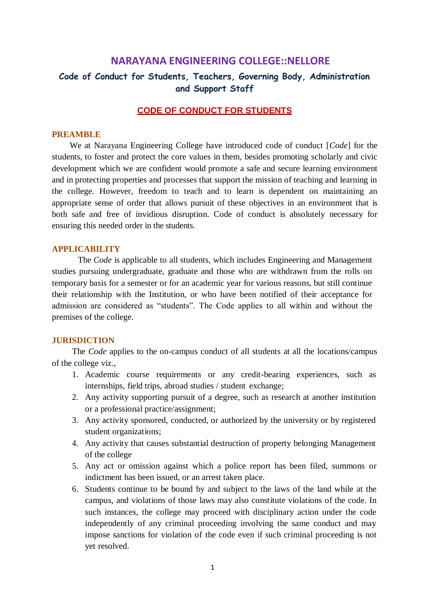# **NARAYANA ENGINEERING COLLEGE::NELLORE**

# **Code of Conduct for Students, Teachers, Governing Body, Administration and Support Staff**

# **CODE OF CONDUCT FOR STUDENTS**

### **PREAMBLE**

We at Narayana Engineering College have introduced code of conduct [*Code*] for the students, to foster and protect the core values in them, besides promoting scholarly and civic development which we are confident would promote a safe and secure learning environment and in protecting properties and processes that support the mission of teaching and learning in the college. However, freedom to teach and to learn is dependent on maintaining an appropriate sense of order that allows pursuit of these objectives in an environment that is both safe and free of invidious disruption. Code of conduct is absolutely necessary for ensuring this needed order in the students.

### **APPLICABILITY**

The *Code* is applicable to all students, which includes Engineering and Management studies pursuing undergraduate, graduate and those who are withdrawn from the rolls on temporary basis for a semester or for an academic year for various reasons, but still continue their relationship with the Institution, or who have been notified of their acceptance for admission are considered as "students". The Code applies to all within and without the premises of the college.

### **JURISDICTION**

The *Code* applies to the on-campus conduct of all students at all the locations/campus of the college viz.,

- 1. Academic course requirements or any credit-bearing experiences, such as internships, field trips, abroad studies / student exchange;
- 2. Any activity supporting pursuit of a degree, such as research at another institution or a professional practice/assignment;
- 3. Any activity sponsored, conducted, or authorized by the university or by registered student organizations;
- 4. Any activity that causes substantial destruction of property belonging Management of the college
- 5. Any act or omission against which a police report has been filed, summons or indictment has been issued, or an arrest taken place.
- 6. Students continue to be bound by and subject to the laws of the land while at the campus, and violations of those laws may also constitute violations of the code. In such instances, the college may proceed with disciplinary action under the code independently of any criminal proceeding involving the same conduct and may impose sanctions for violation of the code even if such criminal proceeding is not yet resolved.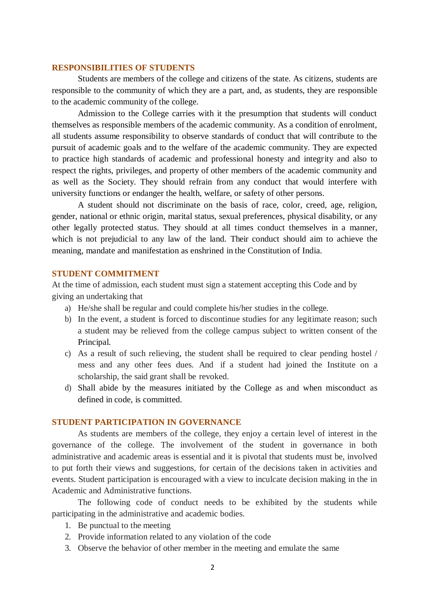### **RESPONSIBILITIES OF STUDENTS**

Students are members of the college and citizens of the state. As citizens, students are responsible to the community of which they are a part, and, as students, they are responsible to the academic community of the college.

Admission to the College carries with it the presumption that students will conduct themselves as responsible members of the academic community. As a condition of enrolment, all students assume responsibility to observe standards of conduct that will contribute to the pursuit of academic goals and to the welfare of the academic community. They are expected to practice high standards of academic and professional honesty and integrity and also to respect the rights, privileges, and property of other members of the academic community and as well as the Society. They should refrain from any conduct that would interfere with university functions or endanger the health, welfare, or safety of other persons.

A student should not discriminate on the basis of race, color, creed, age, religion, gender, national or ethnic origin, marital status, sexual preferences, physical disability, or any other legally protected status. They should at all times conduct themselves in a manner, which is not prejudicial to any law of the land. Their conduct should aim to achieve the meaning, mandate and manifestation as enshrined in the Constitution of India.

### **STUDENT COMMITMENT**

At the time of admission, each student must sign a statement accepting this Code and by giving an undertaking that

- a) He/she shall be regular and could complete his/her studies in the college.
- b) In the event, a student is forced to discontinue studies for any legitimate reason; such a student may be relieved from the college campus subject to written consent of the Principal.
- c) As a result of such relieving, the student shall be required to clear pending hostel / mess and any other fees dues. And if a student had joined the Institute on a scholarship, the said grant shall be revoked.
- d) Shall abide by the measures initiated by the College as and when misconduct as defined in code, is committed.

# **STUDENT PARTICIPATION IN GOVERNANCE**

As students are members of the college, they enjoy a certain level of interest in the governance of the college. The involvement of the student in governance in both administrative and academic areas is essential and it is pivotal that students must be, involved to put forth their views and suggestions, for certain of the decisions taken in activities and events. Student participation is encouraged with a view to inculcate decision making in the in Academic and Administrative functions.

The following code of conduct needs to be exhibited by the students while participating in the administrative and academic bodies.

- 1. Be punctual to the meeting
- 2. Provide information related to any violation of the code
- 3. Observe the behavior of other member in the meeting and emulate the same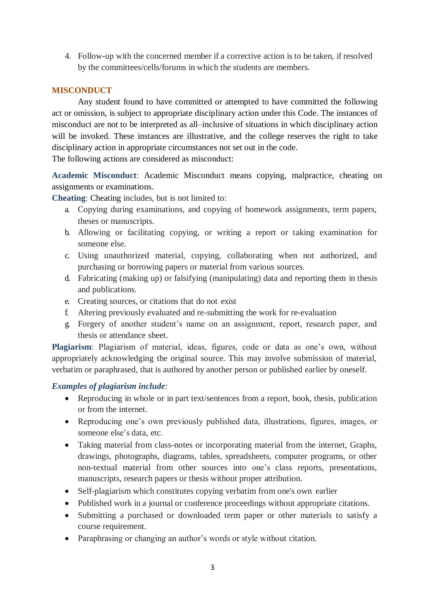4. Follow-up with the concerned member if a corrective action is to be taken, if resolved by the committees/cells/forums in which the students are members.

# **MISCONDUCT**

Any student found to have committed or attempted to have committed the following act or omission, is subject to appropriate disciplinary action under this Code. The instances of misconduct are not to be interpreted as all–inclusive of situations in which disciplinary action will be invoked. These instances are illustrative, and the college reserves the right to take disciplinary action in appropriate circumstances not set out in the code.

The following actions are considered as misconduct:

**Academic Misconduct**: Academic Misconduct means copying, malpractice, cheating on assignments or examinations.

**Cheating**: Cheating includes, but is not limited to:

- a. Copying during examinations, and copying of homework assignments, term papers, theses or manuscripts.
- b. Allowing or facilitating copying, or writing a report or taking examination for someone else.
- c. Using unauthorized material, copying, collaborating when not authorized, and purchasing or borrowing papers or material from various sources.
- d. Fabricating (making up) or falsifying (manipulating) data and reporting them in thesis and publications.
- e. Creating sources, or citations that do not exist
- f. Altering previously evaluated and re-submitting the work for re-evaluation
- g. Forgery of another student's name on an assignment, report, research paper, and thesis or attendance sheet.

**Plagiarism**: Plagiarism of material, ideas, figures, code or data as one's own, without appropriately acknowledging the original source. This may involve submission of material, verbatim or paraphrased, that is authored by another person or published earlier by oneself.

# *Examples of plagiarism include:*

- Reproducing in whole or in part text/sentences from a report, book, thesis, publication or from the internet.
- Reproducing one's own previously published data, illustrations, figures, images, or someone else's data, etc.
- Taking material from class-notes or incorporating material from the internet, Graphs, drawings, photographs, diagrams, tables, spreadsheets, computer programs, or other non-textual material from other sources into one's class reports, presentations, manuscripts, research papers or thesis without proper attribution.
- Self-plagiarism which constitutes copying verbatim from one's own earlier
- Published work in a journal or conference proceedings without appropriate citations.
- Submitting a purchased or downloaded term paper or other materials to satisfy a course requirement.
- Paraphrasing or changing an author's words or style without citation.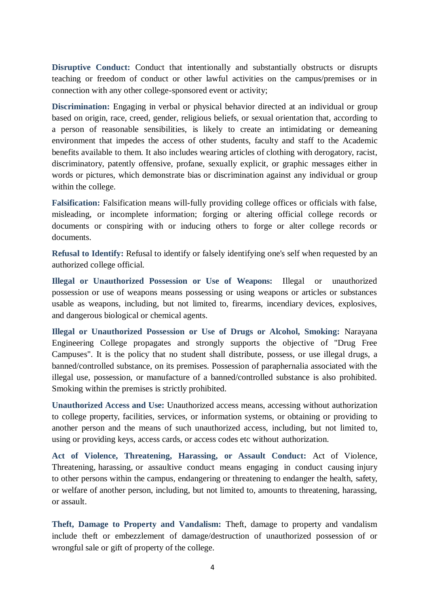**Disruptive Conduct:** Conduct that intentionally and substantially obstructs or disrupts teaching or freedom of conduct or other lawful activities on the campus/premises or in connection with any other college-sponsored event or activity;

Discrimination: Engaging in verbal or physical behavior directed at an individual or group based on origin, race, creed, gender, religious beliefs, or sexual orientation that, according to a person of reasonable sensibilities, is likely to create an intimidating or demeaning environment that impedes the access of other students, faculty and staff to the Academic benefits available to them. It also includes wearing articles of clothing with derogatory, racist, discriminatory, patently offensive, profane, sexually explicit, or graphic messages either in words or pictures, which demonstrate bias or discrimination against any individual or group within the college.

**Falsification:** Falsification means will-fully providing college offices or officials with false, misleading, or incomplete information; forging or altering official college records or documents or conspiring with or inducing others to forge or alter college records or documents.

**Refusal to Identify:** Refusal to identify or falsely identifying one's self when requested by an authorized college official.

**Illegal or Unauthorized Possession or Use of Weapons:** Illegal or unauthorized possession or use of weapons means possessing or using weapons or articles or substances usable as weapons, including, but not limited to, firearms, incendiary devices, explosives, and dangerous biological or chemical agents.

**Illegal or Unauthorized Possession or Use of Drugs or Alcohol, Smoking:** Narayana Engineering College propagates and strongly supports the objective of "Drug Free Campuses". It is the policy that no student shall distribute, possess, or use illegal drugs, a banned/controlled substance, on its premises. Possession of paraphernalia associated with the illegal use, possession, or manufacture of a banned/controlled substance is also prohibited. Smoking within the premises is strictly prohibited.

**Unauthorized Access and Use:** Unauthorized access means, accessing without authorization to college property, facilities, services, or information systems, or obtaining or providing to another person and the means of such unauthorized access, including, but not limited to, using or providing keys, access cards, or access codes etc without authorization.

**Act of Violence, Threatening, Harassing, or Assault Conduct:** Act of Violence, Threatening, harassing, or assaultive conduct means engaging in conduct causing injury to other persons within the campus, endangering or threatening to endanger the health, safety, or welfare of another person, including, but not limited to, amounts to threatening, harassing, or assault.

**Theft, Damage to Property and Vandalism:** Theft, damage to property and vandalism include theft or embezzlement of damage/destruction of unauthorized possession of or wrongful sale or gift of property of the college.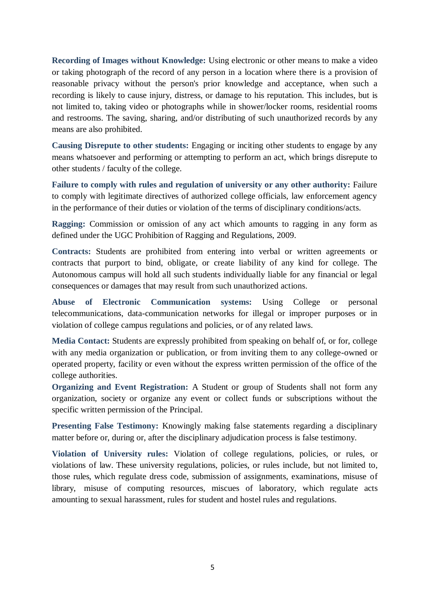**Recording of Images without Knowledge:** Using electronic or other means to make a video or taking photograph of the record of any person in a location where there is a provision of reasonable privacy without the person's prior knowledge and acceptance, when such a recording is likely to cause injury, distress, or damage to his reputation. This includes, but is not limited to, taking video or photographs while in shower/locker rooms, residential rooms and restrooms. The saving, sharing, and/or distributing of such unauthorized records by any means are also prohibited.

**Causing Disrepute to other students:** Engaging or inciting other students to engage by any means whatsoever and performing or attempting to perform an act, which brings disrepute to other students / faculty of the college.

Failure to comply with rules and regulation of university or any other authority: Failure to comply with legitimate directives of authorized college officials, law enforcement agency in the performance of their duties or violation of the terms of disciplinary conditions/acts.

**Ragging:** Commission or omission of any act which amounts to ragging in any form as defined under the UGC Prohibition of Ragging and Regulations, 2009.

**Contracts:** Students are prohibited from entering into verbal or written agreements or contracts that purport to bind, obligate, or create liability of any kind for college. The Autonomous campus will hold all such students individually liable for any financial or legal consequences or damages that may result from such unauthorized actions.

**Abuse of Electronic Communication systems:** Using College or personal telecommunications, data-communication networks for illegal or improper purposes or in violation of college campus regulations and policies, or of any related laws.

**Media Contact:** Students are expressly prohibited from speaking on behalf of, or for, college with any media organization or publication, or from inviting them to any college-owned or operated property, facility or even without the express written permission of the office of the college authorities.

**Organizing and Event Registration:** A Student or group of Students shall not form any organization, society or organize any event or collect funds or subscriptions without the specific written permission of the Principal.

**Presenting False Testimony:** Knowingly making false statements regarding a disciplinary matter before or, during or, after the disciplinary adjudication process is false testimony.

**Violation of University rules:** Violation of college regulations, policies, or rules, or violations of law. These university regulations, policies, or rules include, but not limited to, those rules, which regulate dress code, submission of assignments, examinations, misuse of library, misuse of computing resources, miscues of laboratory, which regulate acts amounting to sexual harassment, rules for student and hostel rules and regulations.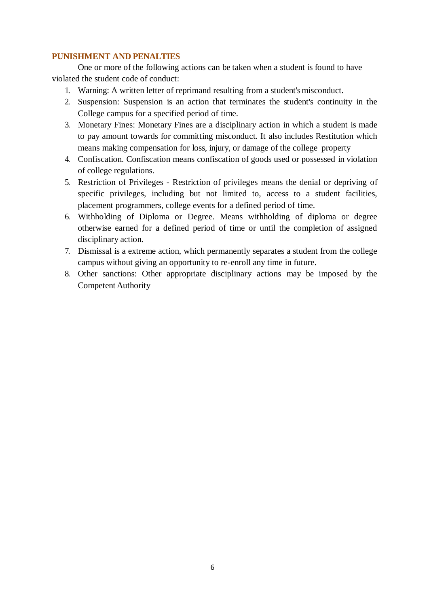# **PUNISHMENT AND PENALTIES**

One or more of the following actions can be taken when a student is found to have violated the student code of conduct:

- 1. Warning: A written letter of reprimand resulting from a student's misconduct.
- 2. Suspension: Suspension is an action that terminates the student's continuity in the College campus for a specified period of time.
- 3. Monetary Fines: Monetary Fines are a disciplinary action in which a student is made to pay amount towards for committing misconduct. It also includes Restitution which means making compensation for loss, injury, or damage of the college property
- 4. Confiscation. Confiscation means confiscation of goods used or possessed in violation of college regulations.
- 5. Restriction of Privileges Restriction of privileges means the denial or depriving of specific privileges, including but not limited to, access to a student facilities, placement programmers, college events for a defined period of time.
- 6. Withholding of Diploma or Degree. Means withholding of diploma or degree otherwise earned for a defined period of time or until the completion of assigned disciplinary action.
- 7. Dismissal is a extreme action, which permanently separates a student from the college campus without giving an opportunity to re-enroll any time in future.
- 8. Other sanctions: Other appropriate disciplinary actions may be imposed by the Competent Authority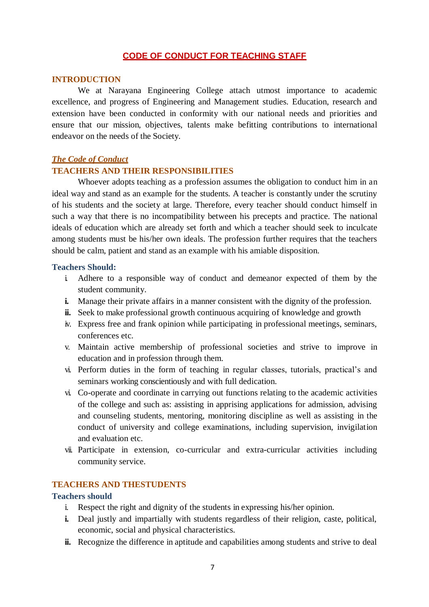# **CODE OF CONDUCT FOR TEACHING STAFF**

### **INTRODUCTION**

We at Narayana Engineering College attach utmost importance to academic excellence, and progress of Engineering and Management studies. Education, research and extension have been conducted in conformity with our national needs and priorities and ensure that our mission, objectives, talents make befitting contributions to international endeavor on the needs of the Society.

### *The Code of Conduct*

## **TEACHERS AND THEIR RESPONSIBILITIES**

Whoever adopts teaching as a profession assumes the obligation to conduct him in an ideal way and stand as an example for the students. A teacher is constantly under the scrutiny of his students and the society at large. Therefore, every teacher should conduct himself in such a way that there is no incompatibility between his precepts and practice. The national ideals of education which are already set forth and which a teacher should seek to inculcate among students must be his/her own ideals. The profession further requires that the teachers should be calm, patient and stand as an example with his amiable disposition.

## **Teachers Should:**

- i. Adhere to a responsible way of conduct and demeanor expected of them by the student community.
- **i.** Manage their private affairs in a manner consistent with the dignity of the profession.
- **ii.** Seek to make professional growth continuous acquiring of knowledge and growth
- iv. Express free and frank opinion while participating in professional meetings, seminars, conferences etc.
- v. Maintain active membership of professional societies and strive to improve in education and in profession through them.
- vi. Perform duties in the form of teaching in regular classes, tutorials, practical's and seminars working conscientiously and with full dedication.
- vi. Co-operate and coordinate in carrying out functions relating to the academic activities of the college and such as: assisting in apprising applications for admission, advising and counseling students, mentoring, monitoring discipline as well as assisting in the conduct of university and college examinations, including supervision, invigilation and evaluation etc.
- vii. Participate in extension, co-curricular and extra-curricular activities including community service.

# **TEACHERS AND THESTUDENTS**

### **Teachers should**

- i. Respect the right and dignity of the students in expressing his/her opinion.
- **i.** Deal justly and impartially with students regardless of their religion, caste, political, economic, social and physical characteristics.
- **ii.** Recognize the difference in aptitude and capabilities among students and strive to deal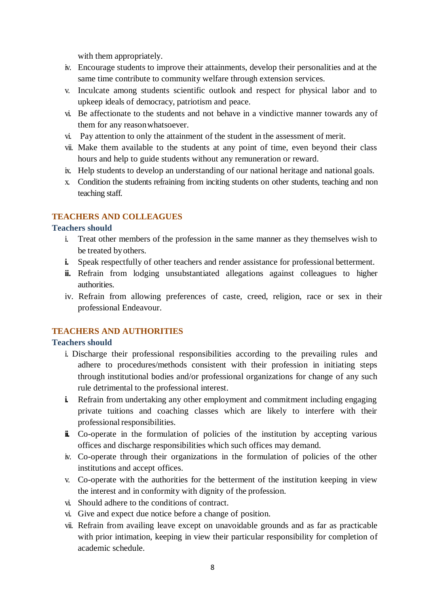with them appropriately.

- iv. Encourage students to improve their attainments, develop their personalities and at the same time contribute to community welfare through extension services.
- v. Inculcate among students scientific outlook and respect for physical labor and to upkeep ideals of democracy, patriotism and peace.
- vi. Be affectionate to the students and not behave in a vindictive manner towards any of them for any reasonwhatsoever.
- vi. Pay attention to only the attainment of the student in the assessment of merit.
- vii. Make them available to the students at any point of time, even beyond their class hours and help to guide students without any remuneration or reward.
- ix. Help students to develop an understanding of our national heritage and national goals.
- x. Condition the students refraining from inciting students on other students, teaching and non teaching staff.

# **TEACHERS AND COLLEAGUES**

# **Teachers should**

- i. Treat other members of the profession in the same manner as they themselves wish to be treated byothers.
- **i.** Speak respectfully of other teachers and render assistance for professional betterment.
- **ii.** Refrain from lodging unsubstantiated allegations against colleagues to higher authorities.
- iv. Refrain from allowing preferences of caste, creed, religion, race or sex in their professional Endeavour.

# **TEACHERS AND AUTHORITIES**

# **Teachers should**

- i. Discharge their professional responsibilities according to the prevailing rules and adhere to procedures/methods consistent with their profession in initiating steps through institutional bodies and/or professional organizations for change of any such rule detrimental to the professional interest.
- **i.** Refrain from undertaking any other employment and commitment including engaging private tuitions and coaching classes which are likely to interfere with their professional responsibilities.
- **ii.** Co-operate in the formulation of policies of the institution by accepting various offices and discharge responsibilities which such offices may demand.
- iv. Co-operate through their organizations in the formulation of policies of the other institutions and accept offices.
- v. Co-operate with the authorities for the betterment of the institution keeping in view the interest and in conformity with dignity of the profession.
- vi. Should adhere to the conditions of contract.
- vi. Give and expect due notice before a change of position.
- vii. Refrain from availing leave except on unavoidable grounds and as far as practicable with prior intimation, keeping in view their particular responsibility for completion of academic schedule.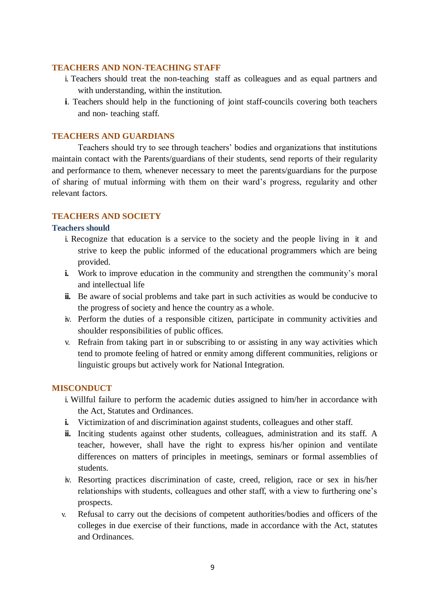# **TEACHERS AND NON-TEACHING STAFF**

- i. Teachers should treat the non-teaching staff as colleagues and as equal partners and with understanding, within the institution.
- **i**. Teachers should help in the functioning of joint staff-councils covering both teachers and non- teaching staff.

# **TEACHERS AND GUARDIANS**

Teachers should try to see through teachers' bodies and organizations that institutions maintain contact with the Parents/guardians of their students, send reports of their regularity and performance to them, whenever necessary to meet the parents/guardians for the purpose of sharing of mutual informing with them on their ward's progress, regularity and other relevant factors.

# **TEACHERS AND SOCIETY**

# **Teachers should**

- i. Recognize that education is a service to the society and the people living in it and strive to keep the public informed of the educational programmers which are being provided.
- **i.** Work to improve education in the community and strengthen the community's moral and intellectual life
- **ii.** Be aware of social problems and take part in such activities as would be conducive to the progress of society and hence the country as a whole.
- iv. Perform the duties of a responsible citizen, participate in community activities and shoulder responsibilities of public offices.
- v. Refrain from taking part in or subscribing to or assisting in any way activities which tend to promote feeling of hatred or enmity among different communities, religions or linguistic groups but actively work for National Integration.

## **MISCONDUCT**

- i. Willful failure to perform the academic duties assigned to him/her in accordance with the Act, Statutes and Ordinances.
- **i.** Victimization of and discrimination against students, colleagues and other staff.
- **ii.** Inciting students against other students, colleagues, administration and its staff. A teacher, however, shall have the right to express his/her opinion and ventilate differences on matters of principles in meetings, seminars or formal assemblies of students.
- iv. Resorting practices discrimination of caste, creed, religion, race or sex in his/her relationships with students, colleagues and other staff, with a view to furthering one's prospects.
- v. Refusal to carry out the decisions of competent authorities/bodies and officers of the colleges in due exercise of their functions, made in accordance with the Act, statutes and Ordinances.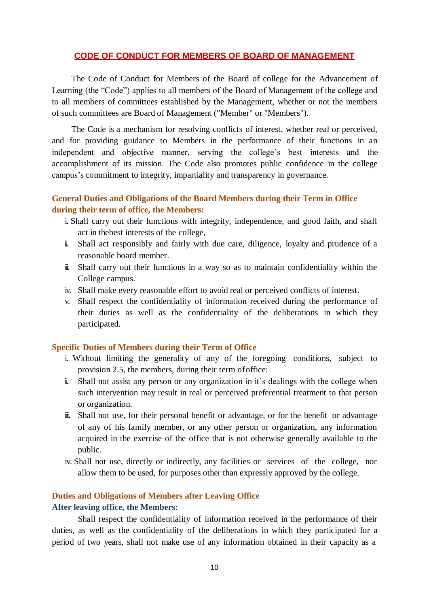## **CODE OF CONDUCT FOR MEMBERS OF BOARD OF MANAGEMENT**

The Code of Conduct for Members of the Board of college for the Advancement of Learning (the "Code") applies to all members of the Board of Management of the college and to all members of committees established by the Management, whether or not the members of such committees are Board of Management ("Member" or "Members").

The Code is a mechanism for resolving conflicts of interest, whether real or perceived, and for providing guidance to Members in the performance of their functions in an independent and objective manner, serving the college's best interests and the accomplishment of its mission. The Code also promotes public confidence in the college campus's commitment to integrity, impartiality and transparency in governance.

# **General Duties and Obligations of the Board Members during their Term in Office during their term of office, the Members:**

- i. Shall carry out their functions with integrity, independence, and good faith, and shall act in thebest interests of the college,
- **i.** Shall act responsibly and fairly with due care, diligence, loyalty and prudence of a reasonable board member.
- **ii.** Shall carry out their functions in a way so as to maintain confidentiality within the College campus.
- iv. Shall make every reasonable effort to avoid real or perceived conflicts of interest.
- v. Shall respect the confidentiality of information received during the performance of their duties as well as the confidentiality of the deliberations in which they participated.

## **Specific Duties of Members during their Term of Office**

- i. Without limiting the generality of any of the foregoing conditions, subject to provision 2.5, the members, during their term ofoffice:
- **i.** Shall not assist any person or any organization in it's dealings with the college when such intervention may result in real or perceived preferential treatment to that person or organization.
- **ii.** Shall not use, for their personal benefit or advantage, or for the benefit or advantage of any of his family member, or any other person or organization, any information acquired in the exercise of the office that is not otherwise generally available to the public.
- iv. Shall not use, directly or indirectly, any facilities or services of the college, nor allow them to be used, for purposes other than expressly approved by the college.

## **Duties and Obligations of Members after Leaving Office**

### **After leaving office, the Members:**

Shall respect the confidentiality of information received in the performance of their duties, as well as the confidentiality of the deliberations in which they participated for a period of two years, shall not make use of any information obtained in their capacity as a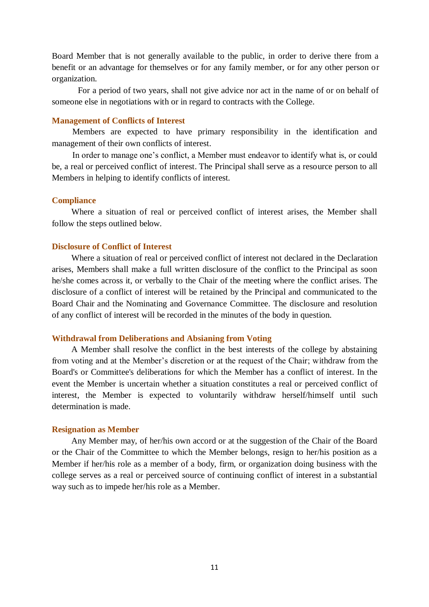Board Member that is not generally available to the public, in order to derive there from a benefit or an advantage for themselves or for any family member, or for any other person or organization.

For a period of two years, shall not give advice nor act in the name of or on behalf of someone else in negotiations with or in regard to contracts with the College.

### **Management of Conflicts of Interest**

Members are expected to have primary responsibility in the identification and management of their own conflicts of interest.

In order to manage one's conflict, a Member must endeavor to identify what is, or could be, a real or perceived conflict of interest. The Principal shall serve as a resource person to all Members in helping to identify conflicts of interest.

### **Compliance**

Where a situation of real or perceived conflict of interest arises, the Member shall follow the steps outlined below.

### **Disclosure of Conflict of Interest**

Where a situation of real or perceived conflict of interest not declared in the Declaration arises, Members shall make a full written disclosure of the conflict to the Principal as soon he/she comes across it, or verbally to the Chair of the meeting where the conflict arises. The disclosure of a conflict of interest will be retained by the Principal and communicated to the Board Chair and the Nominating and Governance Committee. The disclosure and resolution of any conflict of interest will be recorded in the minutes of the body in question.

### **Withdrawal from Deliberations and Absianing from Voting**

A Member shall resolve the conflict in the best interests of the college by abstaining from voting and at the Member's discretion or at the request of the Chair; withdraw from the Board's or Committee's deliberations for which the Member has a conflict of interest. In the event the Member is uncertain whether a situation constitutes a real or perceived conflict of interest, the Member is expected to voluntarily withdraw herself/himself until such determination is made.

### **Resignation as Member**

Any Member may, of her/his own accord or at the suggestion of the Chair of the Board or the Chair of the Committee to which the Member belongs, resign to her/his position as a Member if her/his role as a member of a body, firm, or organization doing business with the college serves as a real or perceived source of continuing conflict of interest in a substantial way such as to impede her/his role as a Member.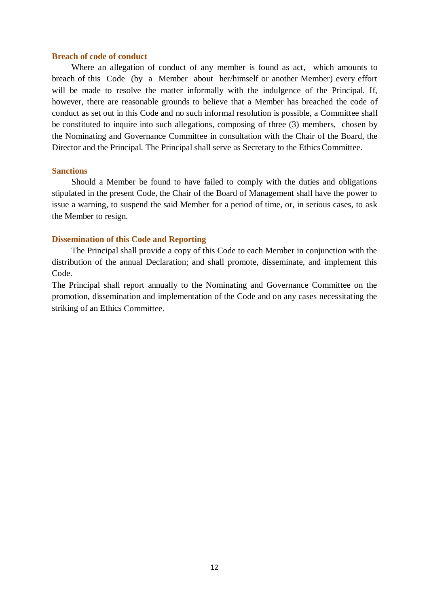### **Breach of code of conduct**

Where an allegation of conduct of any member is found as act, which amounts to breach of this Code (by a Member about her/himself or another Member) every effort will be made to resolve the matter informally with the indulgence of the Principal. If, however, there are reasonable grounds to believe that a Member has breached the code of conduct as set out in this Code and no such informal resolution is possible, a Committee shall be constituted to inquire into such allegations, composing of three (3) members, chosen by the Nominating and Governance Committee in consultation with the Chair of the Board, the Director and the Principal. The Principal shall serve as Secretary to the Ethics Committee.

### **Sanctions**

Should a Member be found to have failed to comply with the duties and obligations stipulated in the present Code, the Chair of the Board of Management shall have the power to issue a warning, to suspend the said Member for a period of time, or, in serious cases, to ask the Member to resign.

### **Dissemination of this Code and Reporting**

The Principal shall provide a copy of this Code to each Member in conjunction with the distribution of the annual Declaration; and shall promote, disseminate, and implement this Code.

The Principal shall report annually to the Nominating and Governance Committee on the promotion, dissemination and implementation of the Code and on any cases necessitating the striking of an Ethics Committee.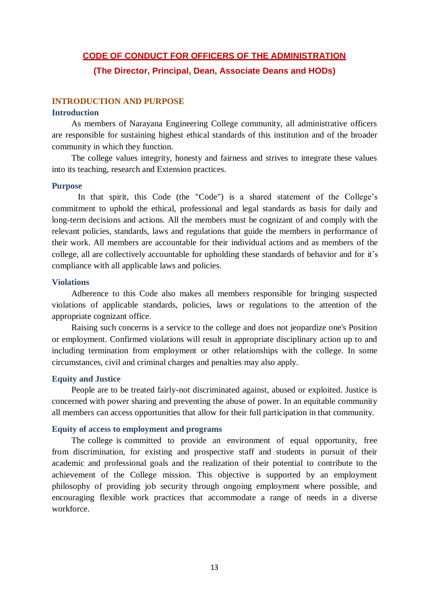### **CODE OF CONDUCT FOR OFFICERS OF THE ADMINISTRATION**

**(The Director, Principal, Dean, Associate Deans and HODs)**

## **INTRODUCTION AND PURPOSE**

#### **Introduction**

As members of Narayana Engineering College community, all administrative officers are responsible for sustaining highest ethical standards of this institution and of the broader community in which they function.

The college values integrity, honesty and fairness and strives to integrate these values into its teaching, research and Extension practices.

#### **Purpose**

In that spirit, this Code (the "Code") is a shared statement of the College's commitment to uphold the ethical, professional and legal standards as basis for daily and long-term decisions and actions. All the members must be cognizant of and comply with the relevant policies, standards, laws and regulations that guide the members in performance of their work. All members are accountable for their individual actions and as members of the college, all are collectively accountable for upholding these standards of behavior and for it's compliance with all applicable laws and policies.

### **Violations**

Adherence to this Code also makes all members responsible for bringing suspected violations of applicable standards, policies, laws or regulations to the attention of the appropriate cognizant office.

Raising such concerns is a service to the college and does not jeopardize one's Position or employment. Confirmed violations will result in appropriate disciplinary action up to and including termination from employment or other relationships with the college. In some circumstances, civil and criminal charges and penalties may also apply.

### **Equity and Justice**

People are to be treated fairly-not discriminated against, abused or exploited. Justice is concerned with power sharing and preventing the abuse of power. In an equitable community all members can access opportunities that allow for their full participation in that community.

### **Equity of access to employment and programs**

The college is committed to provide an environment of equal opportunity, free from discrimination, for existing and prospective staff and students in pursuit of their academic and professional goals and the realization of their potential to contribute to the achievement of the College mission. This objective is supported by an employment philosophy of providing job security through ongoing employment where possible, and encouraging flexible work practices that accommodate a range of needs in a diverse workforce.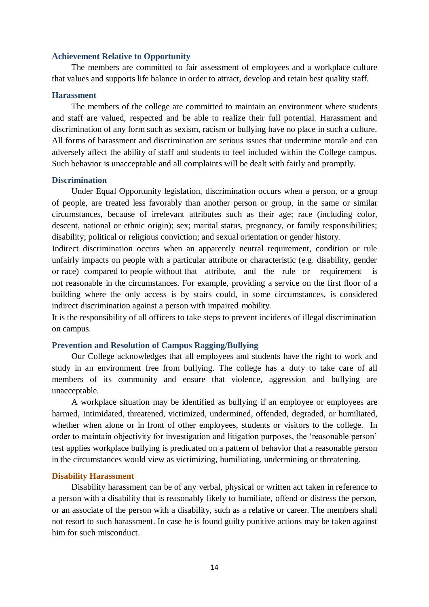#### **Achievement Relative to Opportunity**

The members are committed to fair assessment of employees and a workplace culture that values and supports life balance in order to attract, develop and retain best quality staff.

#### **Harassment**

The members of the college are committed to maintain an environment where students and staff are valued, respected and be able to realize their full potential. Harassment and discrimination of any form such as sexism, racism or bullying have no place in such a culture. All forms of harassment and discrimination are serious issues that undermine morale and can adversely affect the ability of staff and students to feel included within the College campus. Such behavior is unacceptable and all complaints will be dealt with fairly and promptly.

#### **Discrimination**

Under Equal Opportunity legislation, discrimination occurs when a person, or a group of people, are treated less favorably than another person or group, in the same or similar circumstances, because of irrelevant attributes such as their age; race (including color, descent, national or ethnic origin); sex; marital status, pregnancy, or family responsibilities; disability; political or religious conviction; and sexual orientation or gender history.

Indirect discrimination occurs when an apparently neutral requirement, condition or rule unfairly impacts on people with a particular attribute or characteristic (e.g. disability, gender or race) compared to people without that attribute, and the rule or requirement is not reasonable in the circumstances. For example, providing a service on the first floor of a building where the only access is by stairs could, in some circumstances, is considered indirect discrimination against a person with impaired mobility.

It is the responsibility of all officers to take steps to prevent incidents of illegal discrimination on campus.

#### **Prevention and Resolution of Campus Ragging/Bullying**

Our College acknowledges that all employees and students have the right to work and study in an environment free from bullying. The college has a duty to take care of all members of its community and ensure that violence, aggression and bullying are unacceptable.

A workplace situation may be identified as bullying if an employee or employees are harmed, Intimidated, threatened, victimized, undermined, offended, degraded, or humiliated, whether when alone or in front of other employees, students or visitors to the college. In order to maintain objectivity for investigation and litigation purposes, the 'reasonable person' test applies workplace bullying is predicated on a pattern of behavior that a reasonable person in the circumstances would view as victimizing, humiliating, undermining or threatening.

#### **Disability Harassment**

Disability harassment can be of any verbal, physical or written act taken in reference to a person with a disability that is reasonably likely to humiliate, offend or distress the person, or an associate of the person with a disability, such as a relative or career. The members shall not resort to such harassment. In case he is found guilty punitive actions may be taken against him for such misconduct.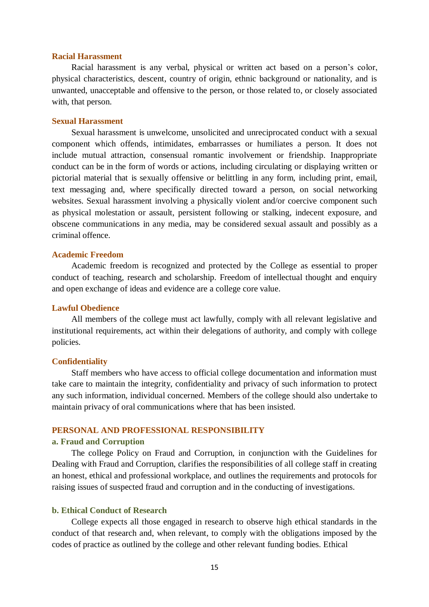#### **Racial Harassment**

Racial harassment is any verbal, physical or written act based on a person's color, physical characteristics, descent, country of origin, ethnic background or nationality, and is unwanted, unacceptable and offensive to the person, or those related to, or closely associated with, that person.

#### **Sexual Harassment**

Sexual harassment is unwelcome, unsolicited and unreciprocated conduct with a sexual component which offends, intimidates, embarrasses or humiliates a person. It does not include mutual attraction, consensual romantic involvement or friendship. Inappropriate conduct can be in the form of words or actions, including circulating or displaying written or pictorial material that is sexually offensive or belittling in any form, including print, email, text messaging and, where specifically directed toward a person, on social networking websites. Sexual harassment involving a physically violent and/or coercive component such as physical molestation or assault, persistent following or stalking, indecent exposure, and obscene communications in any media, may be considered sexual assault and possibly as a criminal offence.

#### **Academic Freedom**

Academic freedom is recognized and protected by the College as essential to proper conduct of teaching, research and scholarship. Freedom of intellectual thought and enquiry and open exchange of ideas and evidence are a college core value.

#### **Lawful Obedience**

All members of the college must act lawfully, comply with all relevant legislative and institutional requirements, act within their delegations of authority, and comply with college policies.

#### **Confidentiality**

Staff members who have access to official college documentation and information must take care to maintain the integrity, confidentiality and privacy of such information to protect any such information, individual concerned. Members of the college should also undertake to maintain privacy of oral communications where that has been insisted.

# **PERSONAL AND PROFESSIONAL RESPONSIBILITY**

### **a. Fraud and Corruption**

The college Policy on Fraud and Corruption, in conjunction with the Guidelines for Dealing with Fraud and Corruption, clarifies the responsibilities of all college staff in creating an honest, ethical and professional workplace, and outlines the requirements and protocols for raising issues of suspected fraud and corruption and in the conducting of investigations.

### **b. Ethical Conduct of Research**

College expects all those engaged in research to observe high ethical standards in the conduct of that research and, when relevant, to comply with the obligations imposed by the codes of practice as outlined by the college and other relevant funding bodies. Ethical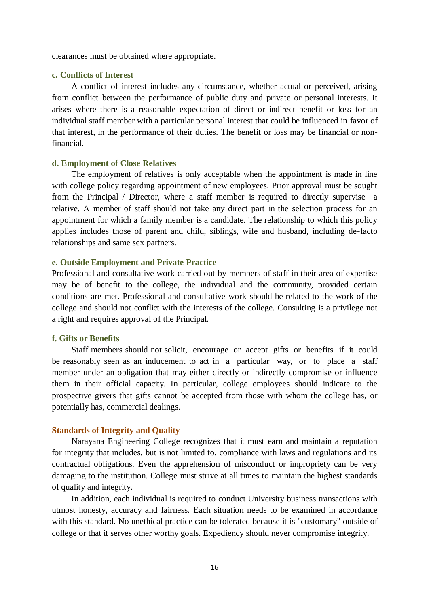clearances must be obtained where appropriate.

## **c. Conflicts of Interest**

A conflict of interest includes any circumstance, whether actual or perceived, arising from conflict between the performance of public duty and private or personal interests. It arises where there is a reasonable expectation of direct or indirect benefit or loss for an individual staff member with a particular personal interest that could be influenced in favor of that interest, in the performance of their duties. The benefit or loss may be financial or nonfinancial.

### **d. Employment of Close Relatives**

The employment of relatives is only acceptable when the appointment is made in line with college policy regarding appointment of new employees. Prior approval must be sought from the Principal / Director, where a staff member is required to directly supervise a relative. A member of staff should not take any direct part in the selection process for an appointment for which a family member is a candidate. The relationship to which this policy applies includes those of parent and child, siblings, wife and husband, including de-facto relationships and same sex partners.

#### **e. Outside Employment and Private Practice**

Professional and consultative work carried out by members of staff in their area of expertise may be of benefit to the college, the individual and the community, provided certain conditions are met. Professional and consultative work should be related to the work of the college and should not conflict with the interests of the college. Consulting is a privilege not a right and requires approval of the Principal.

### **f. Gifts or Benefits**

Staff members should not solicit, encourage or accept gifts or benefits if it could be reasonably seen as an inducement to act in a particular way, or to place a staff member under an obligation that may either directly or indirectly compromise or influence them in their official capacity. In particular, college employees should indicate to the prospective givers that gifts cannot be accepted from those with whom the college has, or potentially has, commercial dealings.

### **Standards of Integrity and Quality**

Narayana Engineering College recognizes that it must earn and maintain a reputation for integrity that includes, but is not limited to, compliance with laws and regulations and its contractual obligations. Even the apprehension of misconduct or impropriety can be very damaging to the institution. College must strive at all times to maintain the highest standards of quality and integrity.

In addition, each individual is required to conduct University business transactions with utmost honesty, accuracy and fairness. Each situation needs to be examined in accordance with this standard. No unethical practice can be tolerated because it is "customary" outside of college or that it serves other worthy goals. Expediency should never compromise integrity.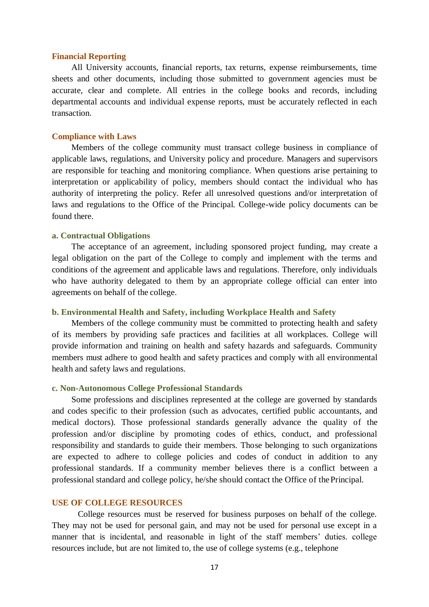#### **Financial Reporting**

All University accounts, financial reports, tax returns, expense reimbursements, time sheets and other documents, including those submitted to government agencies must be accurate, clear and complete. All entries in the college books and records, including departmental accounts and individual expense reports, must be accurately reflected in each transaction.

### **Compliance with Laws**

Members of the college community must transact college business in compliance of applicable laws, regulations, and University policy and procedure. Managers and supervisors are responsible for teaching and monitoring compliance. When questions arise pertaining to interpretation or applicability of policy, members should contact the individual who has authority of interpreting the policy. Refer all unresolved questions and/or interpretation of laws and regulations to the Office of the Principal. College-wide policy documents can be found there.

### **a. Contractual Obligations**

The acceptance of an agreement, including sponsored project funding, may create a legal obligation on the part of the College to comply and implement with the terms and conditions of the agreement and applicable laws and regulations. Therefore, only individuals who have authority delegated to them by an appropriate college official can enter into agreements on behalf of the college.

### **b. Environmental Health and Safety, including Workplace Health and Safety**

Members of the college community must be committed to protecting health and safety of its members by providing safe practices and facilities at all workplaces. College will provide information and training on health and safety hazards and safeguards. Community members must adhere to good health and safety practices and comply with all environmental health and safety laws and regulations.

#### **c. Non-Autonomous College Professional Standards**

Some professions and disciplines represented at the college are governed by standards and codes specific to their profession (such as advocates, certified public accountants, and medical doctors). Those professional standards generally advance the quality of the profession and/or discipline by promoting codes of ethics, conduct, and professional responsibility and standards to guide their members. Those belonging to such organizations are expected to adhere to college policies and codes of conduct in addition to any professional standards. If a community member believes there is a conflict between a professional standard and college policy, he/she should contact the Office of thePrincipal.

### **USE OF COLLEGE RESOURCES**

College resources must be reserved for business purposes on behalf of the college. They may not be used for personal gain, and may not be used for personal use except in a manner that is incidental, and reasonable in light of the staff members' duties. college resources include, but are not limited to, the use of college systems (e.g., telephone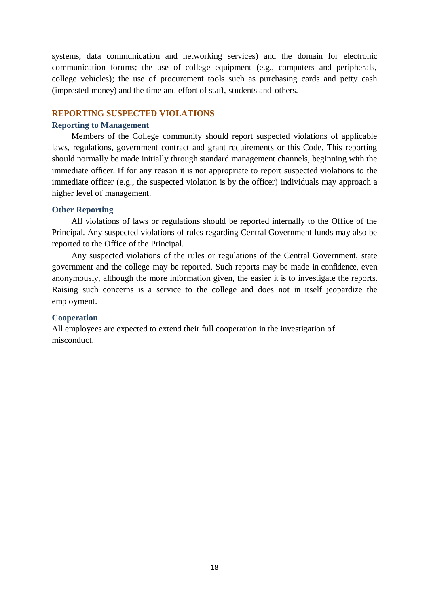systems, data communication and networking services) and the domain for electronic communication forums; the use of college equipment (e.g., computers and peripherals, college vehicles); the use of procurement tools such as purchasing cards and petty cash (imprested money) and the time and effort of staff, students and others.

### **REPORTING SUSPECTED VIOLATIONS**

### **Reporting to Management**

Members of the College community should report suspected violations of applicable laws, regulations, government contract and grant requirements or this Code. This reporting should normally be made initially through standard management channels, beginning with the immediate officer. If for any reason it is not appropriate to report suspected violations to the immediate officer (e.g., the suspected violation is by the officer) individuals may approach a higher level of management.

### **Other Reporting**

All violations of laws or regulations should be reported internally to the Office of the Principal. Any suspected violations of rules regarding Central Government funds may also be reported to the Office of the Principal.

Any suspected violations of the rules or regulations of the Central Government, state government and the college may be reported. Such reports may be made in confidence, even anonymously, although the more information given, the easier it is to investigate the reports. Raising such concerns is a service to the college and does not in itself jeopardize the employment.

### **Cooperation**

All employees are expected to extend their full cooperation in the investigation of misconduct.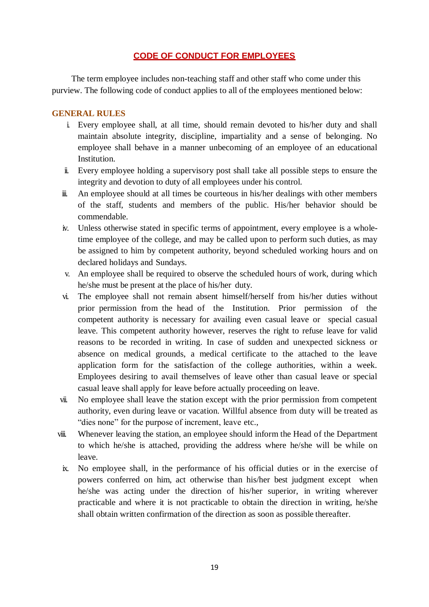# **CODE OF CONDUCT FOR EMPLOYEES**

The term employee includes non-teaching staff and other staff who come under this purview. The following code of conduct applies to all of the employees mentioned below:

# **GENERAL RULES**

- i. Every employee shall, at all time, should remain devoted to his/her duty and shall maintain absolute integrity, discipline, impartiality and a sense of belonging. No employee shall behave in a manner unbecoming of an employee of an educational Institution.
- ii. Every employee holding a supervisory post shall take all possible steps to ensure the integrity and devotion to duty of all employees under his control.
- iii. An employee should at all times be courteous in his/her dealings with other members of the staff, students and members of the public. His/her behavior should be commendable.
- iv. Unless otherwise stated in specific terms of appointment, every employee is a wholetime employee of the college, and may be called upon to perform such duties, as may be assigned to him by competent authority, beyond scheduled working hours and on declared holidays and Sundays.
- v. An employee shall be required to observe the scheduled hours of work, during which he/she must be present at the place of his/her duty.
- vi. The employee shall not remain absent himself/herself from his/her duties without prior permission from the head of the Institution. Prior permission of the competent authority is necessary for availing even casual leave or special casual leave. This competent authority however, reserves the right to refuse leave for valid reasons to be recorded in writing. In case of sudden and unexpected sickness or absence on medical grounds, a medical certificate to the attached to the leave application form for the satisfaction of the college authorities, within a week. Employees desiring to avail themselves of leave other than casual leave or special casual leave shall apply for leave before actually proceeding on leave.
- vii. No employee shall leave the station except with the prior permission from competent authority, even during leave or vacation. Willful absence from duty will be treated as "dies none" for the purpose of increment, leave etc.,
- viii. Whenever leaving the station, an employee should inform the Head of the Department to which he/she is attached, providing the address where he/she will be while on leave.
	- ix. No employee shall, in the performance of his official duties or in the exercise of powers conferred on him, act otherwise than his/her best judgment except when he/she was acting under the direction of his/her superior, in writing wherever practicable and where it is not practicable to obtain the direction in writing, he/she shall obtain written confirmation of the direction as soon as possible thereafter.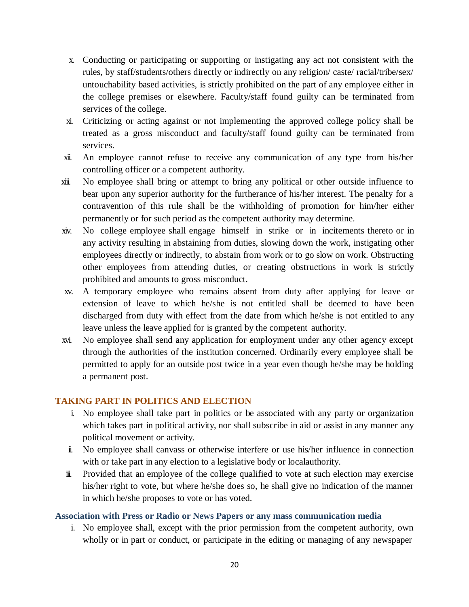- x. Conducting or participating or supporting or instigating any act not consistent with the rules, by staff/students/others directly or indirectly on any religion/ caste/ racial/tribe/sex/ untouchability based activities, is strictly prohibited on the part of any employee either in the college premises or elsewhere. Faculty/staff found guilty can be terminated from services of the college.
- xi. Criticizing or acting against or not implementing the approved college policy shall be treated as a gross misconduct and faculty/staff found guilty can be terminated from services.
- xii. An employee cannot refuse to receive any communication of any type from his/her controlling officer or a competent authority.
- xiii. No employee shall bring or attempt to bring any political or other outside influence to bear upon any superior authority for the furtherance of his/her interest. The penalty for a contravention of this rule shall be the withholding of promotion for him/her either permanently or for such period as the competent authority may determine.
- xiv. No college employee shall engage himself in strike or in incitements thereto or in any activity resulting in abstaining from duties, slowing down the work, instigating other employees directly or indirectly, to abstain from work or to go slow on work. Obstructing other employees from attending duties, or creating obstructions in work is strictly prohibited and amounts to gross misconduct.
- xv. A temporary employee who remains absent from duty after applying for leave or extension of leave to which he/she is not entitled shall be deemed to have been discharged from duty with effect from the date from which he/she is not entitled to any leave unless the leave applied for is granted by the competent authority.
- xvi. No employee shall send any application for employment under any other agency except through the authorities of the institution concerned. Ordinarily every employee shall be permitted to apply for an outside post twice in a year even though he/she may be holding a permanent post.

# **TAKING PART IN POLITICS AND ELECTION**

- i. No employee shall take part in politics or be associated with any party or organization which takes part in political activity, nor shall subscribe in aid or assist in any manner any political movement or activity.
- ii. No employee shall canvass or otherwise interfere or use his/her influence in connection with or take part in any election to a legislative body or localauthority.
- iii. Provided that an employee of the college qualified to vote at such election may exercise his/her right to vote, but where he/she does so, he shall give no indication of the manner in which he/she proposes to vote or has voted.

## **Association with Press or Radio or News Papers or any mass communication media**

i. No employee shall, except with the prior permission from the competent authority, own wholly or in part or conduct, or participate in the editing or managing of any newspaper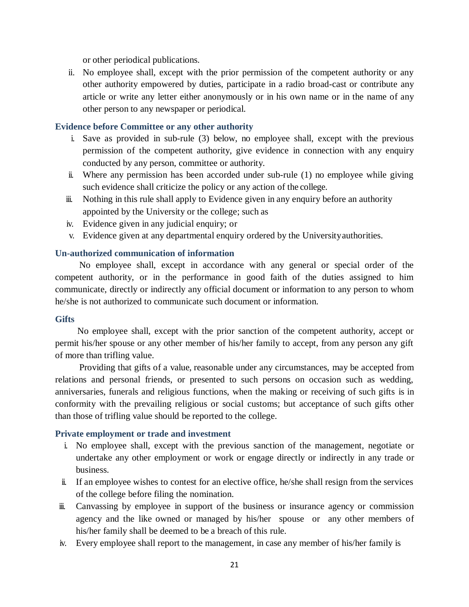or other periodical publications.

ii. No employee shall, except with the prior permission of the competent authority or any other authority empowered by duties, participate in a radio broad-cast or contribute any article or write any letter either anonymously or in his own name or in the name of any other person to any newspaper or periodical.

# **Evidence before Committee or any other authority**

- i. Save as provided in sub-rule (3) below, no employee shall, except with the previous permission of the competent authority, give evidence in connection with any enquiry conducted by any person, committee or authority.
- ii. Where any permission has been accorded under sub-rule (1) no employee while giving such evidence shall criticize the policy or any action of the college.
- iii. Nothing in this rule shall apply to Evidence given in any enquiry before an authority appointed by the University or the college; such as
- iv. Evidence given in any judicial enquiry; or
- v. Evidence given at any departmental enquiry ordered by the Universityauthorities.

## **Un-authorized communication of information**

No employee shall, except in accordance with any general or special order of the competent authority, or in the performance in good faith of the duties assigned to him communicate, directly or indirectly any official document or information to any person to whom he/she is not authorized to communicate such document or information.

## **Gifts**

No employee shall, except with the prior sanction of the competent authority, accept or permit his/her spouse or any other member of his/her family to accept, from any person any gift of more than trifling value.

Providing that gifts of a value, reasonable under any circumstances, may be accepted from relations and personal friends, or presented to such persons on occasion such as wedding, anniversaries, funerals and religious functions, when the making or receiving of such gifts is in conformity with the prevailing religious or social customs; but acceptance of such gifts other than those of trifling value should be reported to the college.

## **Private employment or trade and investment**

- i. No employee shall, except with the previous sanction of the management, negotiate or undertake any other employment or work or engage directly or indirectly in any trade or business.
- ii. If an employee wishes to contest for an elective office, he/she shall resign from the services of the college before filing the nomination.
- iii. Canvassing by employee in support of the business or insurance agency or commission agency and the like owned or managed by his/her spouse or any other members of his/her family shall be deemed to be a breach of this rule.
- iv. Every employee shall report to the management, in case any member of his/her family is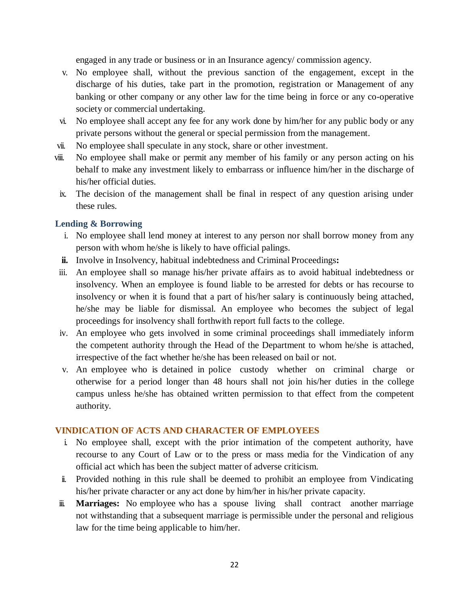engaged in any trade or business or in an Insurance agency/ commission agency.

- v. No employee shall, without the previous sanction of the engagement, except in the discharge of his duties, take part in the promotion, registration or Management of any banking or other company or any other law for the time being in force or any co-operative society or commercial undertaking.
- vi. No employee shall accept any fee for any work done by him/her for any public body or any private persons without the general or special permission from the management.
- vii. No employee shall speculate in any stock, share or other investment.
- viii. No employee shall make or permit any member of his family or any person acting on his behalf to make any investment likely to embarrass or influence him/her in the discharge of his/her official duties.
- ix. The decision of the management shall be final in respect of any question arising under these rules.

# **Lending & Borrowing**

- i. No employee shall lend money at interest to any person nor shall borrow money from any person with whom he/she is likely to have official palings.
- **ii.** Involve in Insolvency, habitual indebtedness and Criminal Proceedings**:**
- iii. An employee shall so manage his/her private affairs as to avoid habitual indebtedness or insolvency. When an employee is found liable to be arrested for debts or has recourse to insolvency or when it is found that a part of his/her salary is continuously being attached, he/she may be liable for dismissal. An employee who becomes the subject of legal proceedings for insolvency shall forthwith report full facts to the college.
- iv. An employee who gets involved in some criminal proceedings shall immediately inform the competent authority through the Head of the Department to whom he/she is attached, irrespective of the fact whether he/she has been released on bail or not.
- v. An employee who is detained in police custody whether on criminal charge or otherwise for a period longer than 48 hours shall not join his/her duties in the college campus unless he/she has obtained written permission to that effect from the competent authority.

# **VINDICATION OF ACTS AND CHARACTER OF EMPLOYEES**

- i. No employee shall, except with the prior intimation of the competent authority, have recourse to any Court of Law or to the press or mass media for the Vindication of any official act which has been the subject matter of adverse criticism.
- ii. Provided nothing in this rule shall be deemed to prohibit an employee from Vindicating his/her private character or any act done by him/her in his/her private capacity.
- iii. **Marriages:** No employee who has a spouse living shall contract another marriage not withstanding that a subsequent marriage is permissible under the personal and religious law for the time being applicable to him/her.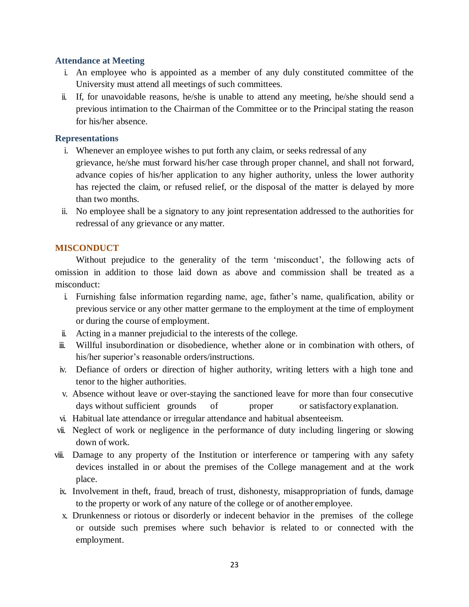## **Attendance at Meeting**

- i. An employee who is appointed as a member of any duly constituted committee of the University must attend all meetings of such committees.
- ii. If, for unavoidable reasons, he/she is unable to attend any meeting, he/she should send a previous intimation to the Chairman of the Committee or to the Principal stating the reason for his/her absence.

## **Representations**

- i. Whenever an employee wishes to put forth any claim, or seeks redressal of any grievance, he/she must forward his/her case through proper channel, and shall not forward, advance copies of his/her application to any higher authority, unless the lower authority has rejected the claim, or refused relief, or the disposal of the matter is delayed by more than two months.
- ii. No employee shall be a signatory to any joint representation addressed to the authorities for redressal of any grievance or any matter.

## **MISCONDUCT**

Without prejudice to the generality of the term 'misconduct', the following acts of omission in addition to those laid down as above and commission shall be treated as a misconduct:

- i. Furnishing false information regarding name, age, father's name, qualification, ability or previous service or any other matter germane to the employment at the time of employment or during the course of employment.
- ii. Acting in a manner prejudicial to the interests of the college.
- iii. Willful insubordination or disobedience, whether alone or in combination with others, of his/her superior's reasonable orders/instructions.
- iv. Defiance of orders or direction of higher authority, writing letters with a high tone and tenor to the higher authorities.
- v. Absence without leave or over-staying the sanctioned leave for more than four consecutive days without sufficient grounds of proper or satisfactory explanation.
- vi. Habitual late attendance or irregular attendance and habitual absenteeism.
- vii. Neglect of work or negligence in the performance of duty including lingering or slowing down of work.
- viii. Damage to any property of the Institution or interference or tampering with any safety devices installed in or about the premises of the College management and at the work place.
- ix. Involvement in theft, fraud, breach of trust, dishonesty, misappropriation of funds, damage to the property or work of any nature of the college or of another employee.
- x. Drunkenness or riotous or disorderly or indecent behavior in the premises of the college or outside such premises where such behavior is related to or connected with the employment.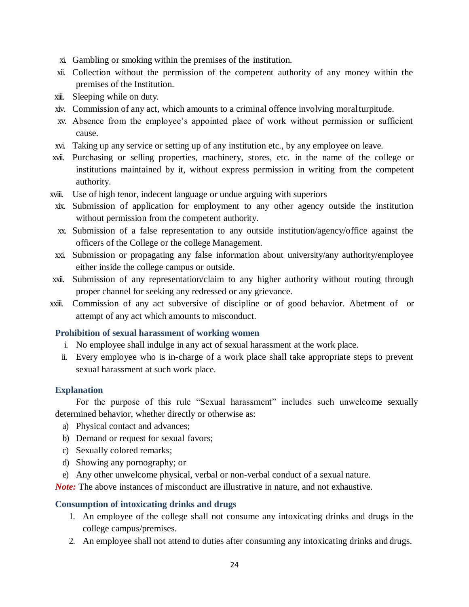- xi. Gambling or smoking within the premises of the institution.
- xii. Collection without the permission of the competent authority of any money within the premises of the Institution.
- xiii. Sleeping while on duty.
- xiv. Commission of any act, which amounts to a criminal offence involving moralturpitude.
- xv. Absence from the employee's appointed place of work without permission or sufficient cause.
- xvi. Taking up any service or setting up of any institution etc., by any employee on leave.
- xvii. Purchasing or selling properties, machinery, stores, etc. in the name of the college or institutions maintained by it, without express permission in writing from the competent authority.
- xviii. Use of high tenor, indecent language or undue arguing with superiors
- xix. Submission of application for employment to any other agency outside the institution without permission from the competent authority.
- xx. Submission of a false representation to any outside institution/agency/office against the officers of the College or the college Management.
- xxi. Submission or propagating any false information about university/any authority/employee either inside the college campus or outside.
- xxii. Submission of any representation/claim to any higher authority without routing through proper channel for seeking any redressed or any grievance.
- xxiii. Commission of any act subversive of discipline or of good behavior. Abetment of or attempt of any act which amounts to misconduct.

# **Prohibition of sexual harassment of working women**

- i. No employee shall indulge in any act of sexual harassment at the work place.
- ii. Every employee who is in-charge of a work place shall take appropriate steps to prevent sexual harassment at such work place.

## **Explanation**

For the purpose of this rule "Sexual harassment" includes such unwelcome sexually determined behavior, whether directly or otherwise as:

- a) Physical contact and advances;
- b) Demand or request for sexual favors;
- c) Sexually colored remarks;
- d) Showing any pornography; or
- e) Any other unwelcome physical, verbal or non-verbal conduct of a sexual nature.

*Note:* The above instances of misconduct are illustrative in nature, and not exhaustive.

## **Consumption of intoxicating drinks and drugs**

- 1. An employee of the college shall not consume any intoxicating drinks and drugs in the college campus/premises.
- 2. An employee shall not attend to duties after consuming any intoxicating drinks and drugs.